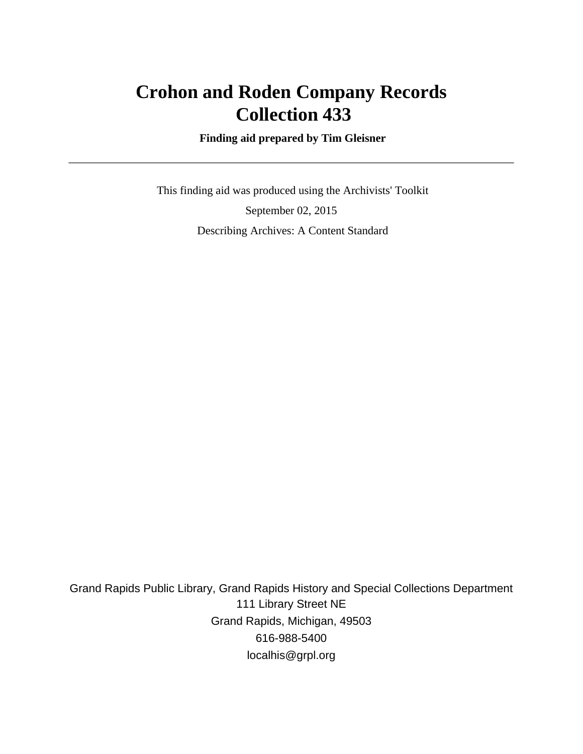## **Crohon and Roden Company Records Collection 433**

 **Finding aid prepared by Tim Gleisner**

 This finding aid was produced using the Archivists' Toolkit September 02, 2015 Describing Archives: A Content Standard

Grand Rapids Public Library, Grand Rapids History and Special Collections Department 111 Library Street NE Grand Rapids, Michigan, 49503 616-988-5400 localhis@grpl.org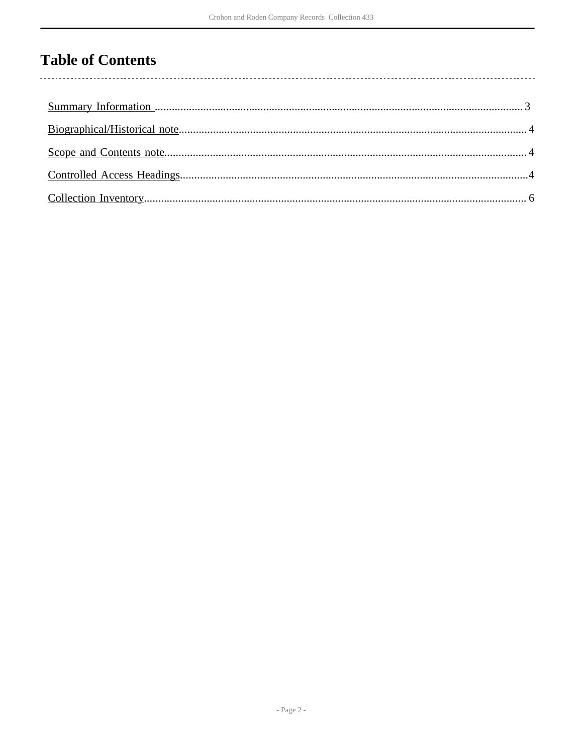## **Table of Contents**

l,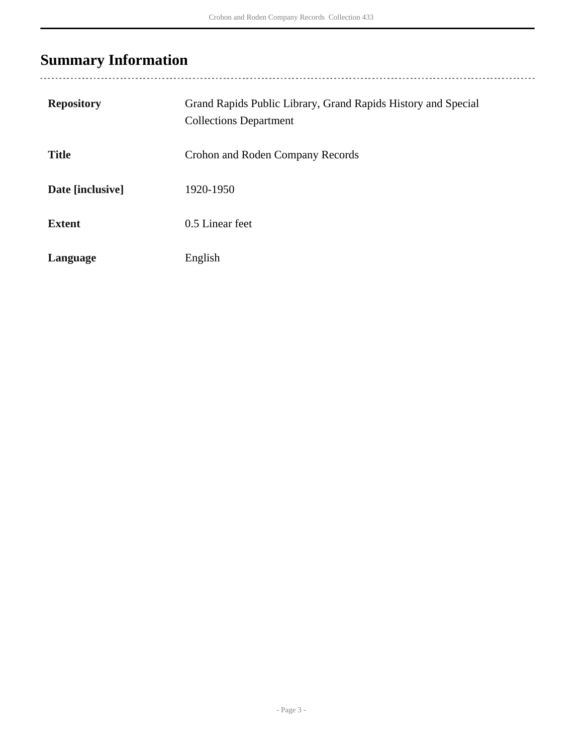## <span id="page-2-0"></span>**Summary Information**

| <b>Repository</b> | Grand Rapids Public Library, Grand Rapids History and Special<br><b>Collections Department</b> |
|-------------------|------------------------------------------------------------------------------------------------|
| <b>Title</b>      | Crohon and Roden Company Records                                                               |
| Date [inclusive]  | 1920-1950                                                                                      |
| <b>Extent</b>     | 0.5 Linear feet                                                                                |
| Language          | English                                                                                        |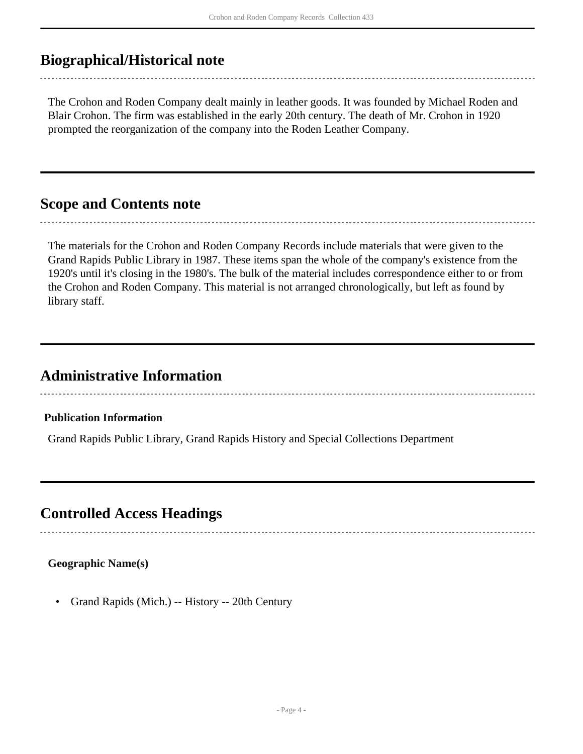### <span id="page-3-0"></span>**Biographical/Historical note**

The Crohon and Roden Company dealt mainly in leather goods. It was founded by Michael Roden and Blair Crohon. The firm was established in the early 20th century. The death of Mr. Crohon in 1920 prompted the reorganization of the company into the Roden Leather Company.

### <span id="page-3-1"></span>**Scope and Contents note**

The materials for the Crohon and Roden Company Records include materials that were given to the Grand Rapids Public Library in 1987. These items span the whole of the company's existence from the 1920's until it's closing in the 1980's. The bulk of the material includes correspondence either to or from the Crohon and Roden Company. This material is not arranged chronologically, but left as found by library staff.

## **Administrative Information**

#### **Publication Information**

Grand Rapids Public Library, Grand Rapids History and Special Collections Department

### <span id="page-3-2"></span>**Controlled Access Headings**

#### **Geographic Name(s)**

• Grand Rapids (Mich.) -- History -- 20th Century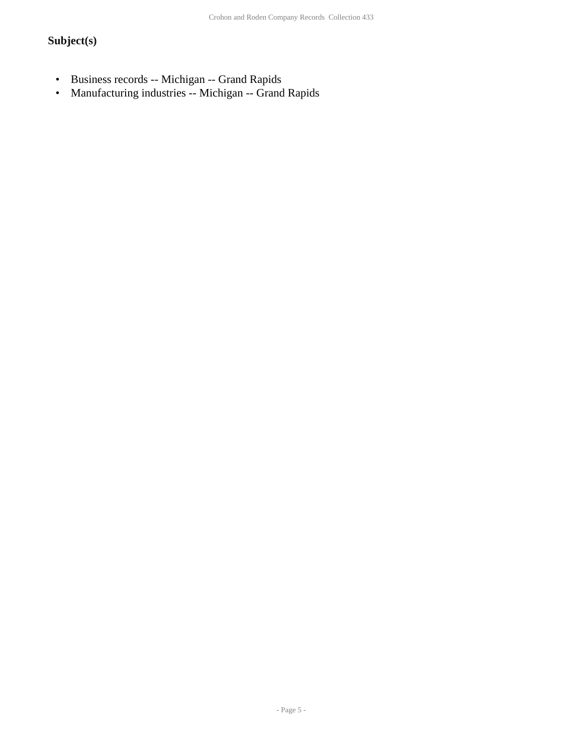### **Subject(s)**

- Business records -- Michigan -- Grand Rapids<br>• Manufacturing industries -- Michigan -- Grand
- Manufacturing industries -- Michigan -- Grand Rapids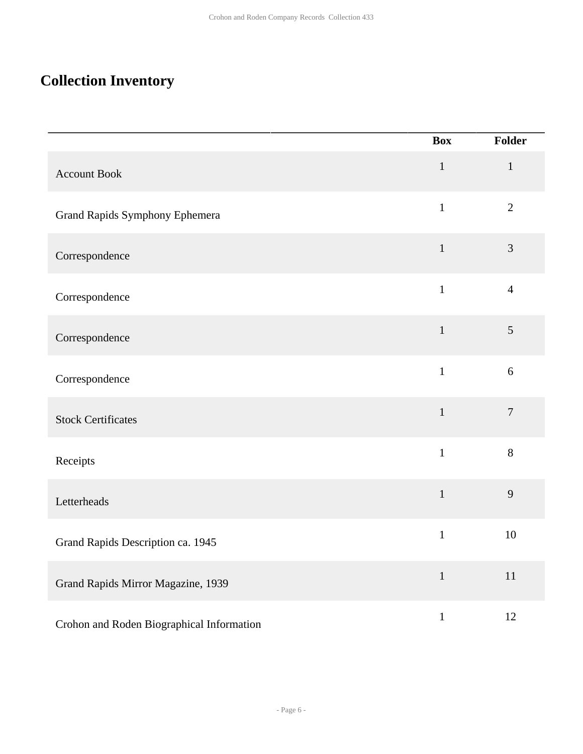## <span id="page-5-0"></span>**Collection Inventory**

|                                           | <b>Box</b>   | Folder         |
|-------------------------------------------|--------------|----------------|
| <b>Account Book</b>                       | $\mathbf 1$  | $\mathbf{1}$   |
| Grand Rapids Symphony Ephemera            | $\mathbf{1}$ | $\overline{2}$ |
| Correspondence                            | $\mathbf{1}$ | $\mathfrak{Z}$ |
| Correspondence                            | $\mathbf{1}$ | $\overline{4}$ |
| Correspondence                            | $\mathbf{1}$ | $\mathfrak{S}$ |
| Correspondence                            | $\mathbf{1}$ | $\sqrt{6}$     |
| <b>Stock Certificates</b>                 | $\mathbf{1}$ | $\overline{7}$ |
| Receipts                                  | $\mathbf{1}$ | 8              |
| Letterheads                               | $\mathbf{1}$ | 9              |
| Grand Rapids Description ca. 1945         | $\mathbf{1}$ | 10             |
| Grand Rapids Mirror Magazine, 1939        | $\mathbf{1}$ | $11\,$         |
| Crohon and Roden Biographical Information | $\mathbf{1}$ | 12             |